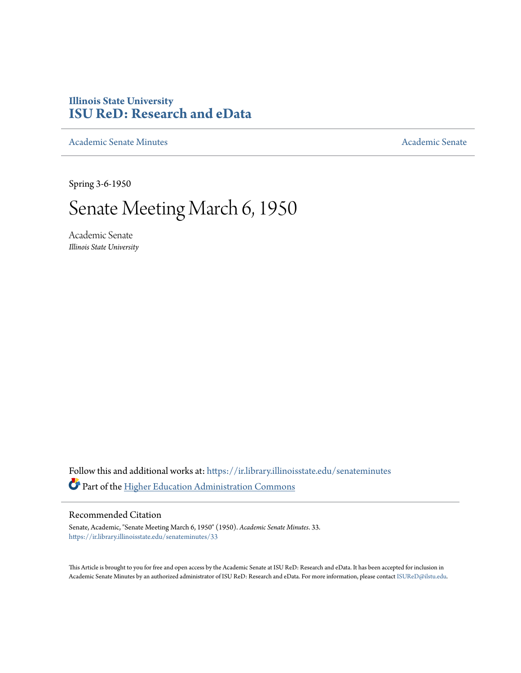## **Illinois State University [ISU ReD: Research and eData](https://ir.library.illinoisstate.edu?utm_source=ir.library.illinoisstate.edu%2Fsenateminutes%2F33&utm_medium=PDF&utm_campaign=PDFCoverPages)**

[Academic Senate Minutes](https://ir.library.illinoisstate.edu/senateminutes?utm_source=ir.library.illinoisstate.edu%2Fsenateminutes%2F33&utm_medium=PDF&utm_campaign=PDFCoverPages) [Academic Senate](https://ir.library.illinoisstate.edu/senate?utm_source=ir.library.illinoisstate.edu%2Fsenateminutes%2F33&utm_medium=PDF&utm_campaign=PDFCoverPages) Academic Senate

Spring 3-6-1950

## Senate Meeting March 6, 1950

Academic Senate *Illinois State University*

Follow this and additional works at: [https://ir.library.illinoisstate.edu/senateminutes](https://ir.library.illinoisstate.edu/senateminutes?utm_source=ir.library.illinoisstate.edu%2Fsenateminutes%2F33&utm_medium=PDF&utm_campaign=PDFCoverPages) Part of the [Higher Education Administration Commons](http://network.bepress.com/hgg/discipline/791?utm_source=ir.library.illinoisstate.edu%2Fsenateminutes%2F33&utm_medium=PDF&utm_campaign=PDFCoverPages)

## Recommended Citation

Senate, Academic, "Senate Meeting March 6, 1950" (1950). *Academic Senate Minutes*. 33. [https://ir.library.illinoisstate.edu/senateminutes/33](https://ir.library.illinoisstate.edu/senateminutes/33?utm_source=ir.library.illinoisstate.edu%2Fsenateminutes%2F33&utm_medium=PDF&utm_campaign=PDFCoverPages)

This Article is brought to you for free and open access by the Academic Senate at ISU ReD: Research and eData. It has been accepted for inclusion in Academic Senate Minutes by an authorized administrator of ISU ReD: Research and eData. For more information, please contact [ISUReD@ilstu.edu.](mailto:ISUReD@ilstu.edu)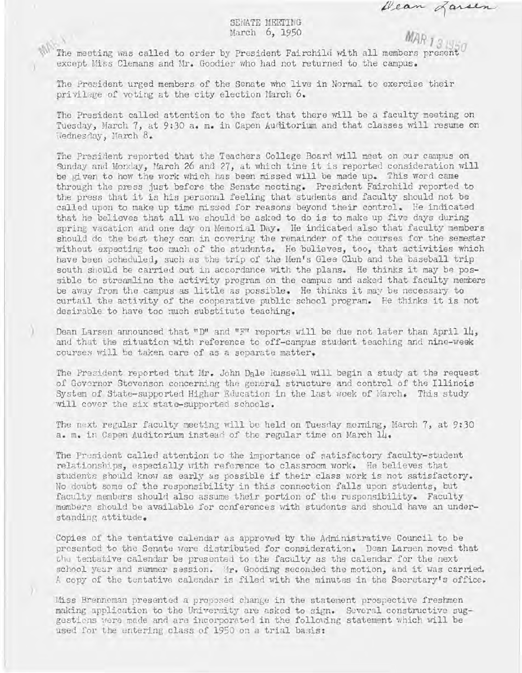gara

## SENATE MEEI'ING March 6, 1950

The meeting was called to order by President Fairchild with all members present except Miss Clemans and Mr. Goodier who had not returned to the campus.

The President urged members of the Senate who live in Normal to exercise their privilege of voting at the city election March 6.

)

)

The President called attention to the fact that there will be a faculty meeting on Tuesday, March 7, at 9:30 a. m. in Capen Auditorium and that classes will resume on Wednesday, March 8.

The President reported that the Teachers College Board will meet on our campus on Sunday and Monday, March 26 and 27, at which time it is reported consideration will be given to how the work which has been missed will be made up. This word came through the press just before the Senate meeting. President Fairchild reported to the press that it is his personal feeling that students and faculty should not be called upon to make up time missed for reasons beyond their control. He indicated that he believes that all we should be asked to do is to make up five days during spring vacation and one day on Memorial Day. He indicated also that faculty members should do the best they can in covering the remainder of the courses for the semester without expecting too much of the students. He believes, too, that activities which have been scheduled, such as the trip of the Men's Glee Club and the baseball trip south should be carried out in accordance with the plans. He thinks it may be possible to streamline the activity program on the campus and asked that faculty members be away from the campus as little as possible. He thinks it may be necessary to curtail the activity of the cooperative public school program. He thinks it is not desirable to have too much substitute teaching,

Dean Larsen announced that "D" and "F" reports will be due not later than April 14, and that the situation with reference to off-campus student teaching and nine-week courses will be taken care of as a separate matter.

The President reported that Mr. John Dale Russell will begin a study at the request of Governor Stevenson concerning the general structure and control of the Illinois System of State-supported Higher Education in the last week of March. This study will cover the six state-supported schools .

The next regular faculty meeting will be held on Tuesday morning, March 7, at 9:30 a. m. in Capen Auditorium instead of the regular time on March 14.

The Prusident called attention to the importance of satisfactory faculty-student relationships, especially with reference to classroom work. He believes that students should know as early as possible if their class work is not satisfactory. No doubt some of the responsibility in this connection falls upon students, but faculty members should also assume their portion of the responsibility. Faculty members should be available for conferences with students and should have an understanding attitude.

Copies of the tentative calendar as approved by the Administrative Council to be presented to the Senate were distributed for consideration. Dean Larsen moved that the tentative calendar be presented to the faculty as the calendar for the next school year and summer session. Mr. Gooding seconded the motion, and it was carried. A copy of the tentative calendar is filed with the minutes in the Secretary's office.

Miss Brenneman presented a proposed change in the statement prospective freshmen making application to the University are asked to sign. Several constructive suggestions were made and are incorporated in the following statement which will be used for the entering class of 1950 on a trial basis: